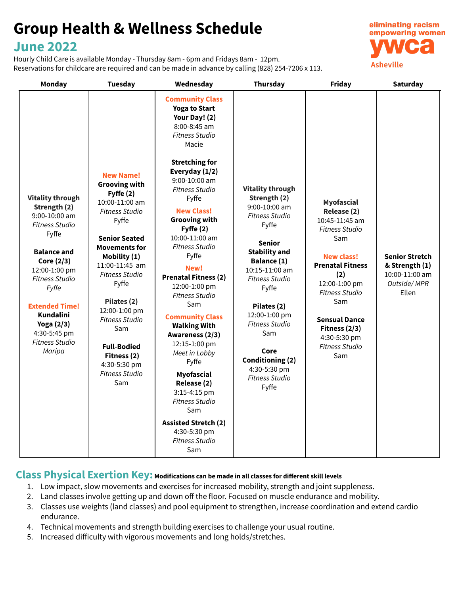# **Group Health & Wellness Schedule**

# **June 2022**

Hourly Child Care is available Monday - Thursday 8am - 6pm and Fridays 8am - 12pm. Reservations for childcare are required and can be made in advance by calling (828) 254-7206 x 113.



| Monday                                                                                                                                                                                                                                                                                                   | <b>Tuesday</b>                                                                                                                                                                                                                                                                                                                                                                       | Wednesday                                                                                                                                                                                                                                                                                                                                                                                                                                                                                                                                                                                                                                                                                                   | <b>Thursday</b>                                                                                                                                                                                                                                                                                                                                      | Friday                                                                                                                                                                                                                                                                                | <b>Saturday</b>                                                                   |
|----------------------------------------------------------------------------------------------------------------------------------------------------------------------------------------------------------------------------------------------------------------------------------------------------------|--------------------------------------------------------------------------------------------------------------------------------------------------------------------------------------------------------------------------------------------------------------------------------------------------------------------------------------------------------------------------------------|-------------------------------------------------------------------------------------------------------------------------------------------------------------------------------------------------------------------------------------------------------------------------------------------------------------------------------------------------------------------------------------------------------------------------------------------------------------------------------------------------------------------------------------------------------------------------------------------------------------------------------------------------------------------------------------------------------------|------------------------------------------------------------------------------------------------------------------------------------------------------------------------------------------------------------------------------------------------------------------------------------------------------------------------------------------------------|---------------------------------------------------------------------------------------------------------------------------------------------------------------------------------------------------------------------------------------------------------------------------------------|-----------------------------------------------------------------------------------|
| <b>Vitality through</b><br>Strength (2)<br>$9:00-10:00$ am<br><b>Fitness Studio</b><br>Fyffe<br><b>Balance and</b><br>Core (2/3)<br>12:00-1:00 pm<br><b>Fitness Studio</b><br>Fyffe<br><b>Extended Time!</b><br><b>Kundalini</b><br><b>Yoga (2/3)</b><br>4:30-5:45 pm<br><b>Fitness Studio</b><br>Maripa | <b>New Name!</b><br><b>Grooving with</b><br>Fyffe $(2)$<br>10:00-11:00 am<br><b>Fitness Studio</b><br>Fyffe<br><b>Senior Seated</b><br><b>Movements for</b><br>Mobility (1)<br>11:00-11:45 am<br><b>Fitness Studio</b><br>Fyffe<br>Pilates (2)<br>12:00-1:00 pm<br><b>Fitness Studio</b><br>Sam<br><b>Full-Bodied</b><br>Fitness (2)<br>4:30-5:30 pm<br><b>Fitness Studio</b><br>Sam | <b>Community Class</b><br><b>Yoga to Start</b><br>Your Day! (2)<br>8:00-8:45 am<br><b>Fitness Studio</b><br>Macie<br><b>Stretching for</b><br>Everyday (1/2)<br>$9:00 - 10:00$ am<br><b>Fitness Studio</b><br>Fyffe<br><b>New Class!</b><br><b>Grooving with</b><br>Fyffe (2)<br>10:00-11:00 am<br><b>Fitness Studio</b><br>Fyffe<br>New!<br><b>Prenatal Fitness (2)</b><br>12:00-1:00 pm<br><b>Fitness Studio</b><br>Sam<br><b>Community Class</b><br><b>Walking With</b><br>Awareness (2/3)<br>12:15-1:00 pm<br>Meet in Lobby<br>Fyffe<br><b>Myofascial</b><br>Release (2)<br>3:15-4:15 pm<br><b>Fitness Studio</b><br>Sam<br><b>Assisted Stretch (2)</b><br>4:30-5:30 pm<br><b>Fitness Studio</b><br>Sam | <b>Vitality through</b><br>Strength (2)<br>9:00-10:00 am<br><b>Fitness Studio</b><br>Fyffe<br><b>Senior</b><br><b>Stability and</b><br>Balance (1)<br>10:15-11:00 am<br>Fitness Studio<br>Fyffe<br>Pilates (2)<br>12:00-1:00 pm<br><b>Fitness Studio</b><br>Sam<br>Core<br><b>Conditioning (2)</b><br>4:30-5:30 pm<br><b>Fitness Studio</b><br>Fyffe | <b>Myofascial</b><br>Release (2)<br>10:45-11:45 am<br><b>Fitness Studio</b><br>Sam<br><b>New class!</b><br><b>Prenatal Fitness</b><br>(2)<br>12:00-1:00 pm<br><b>Fitness Studio</b><br>Sam<br><b>Sensual Dance</b><br>Fitness $(2/3)$<br>4:30-5:30 pm<br><b>Fitness Studio</b><br>Sam | <b>Senior Stretch</b><br>& Strength (1)<br>10:00-11:00 am<br>Outside/MPR<br>Ellen |

# **Class Physical Exertion Key: Modifications can be made in all classes for different skill levels**

- 1. Low impact, slow movements and exercises for increased mobility, strength and joint suppleness.
- 2. Land classes involve getting up and down off the floor. Focused on muscle endurance and mobility.
- 3. Classes use weights (land classes) and pool equipment to strengthen, increase coordination and extend cardio endurance.
- 4. Technical movements and strength building exercises to challenge your usual routine.
- 5. Increased difficulty with vigorous movements and long holds/stretches.